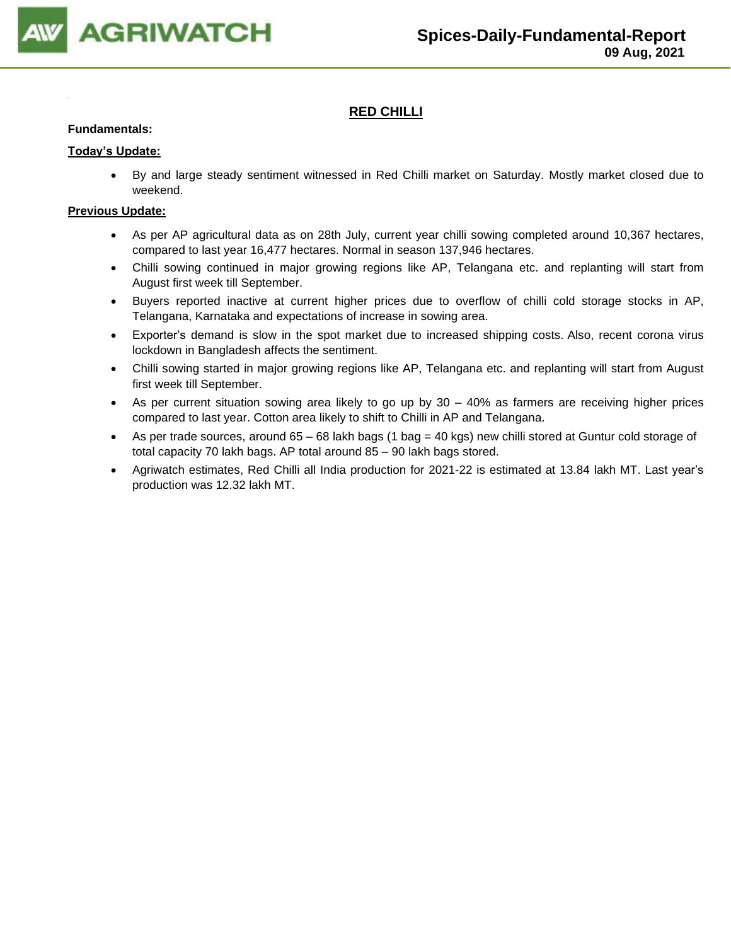

## **RED CHILLI**

#### **Fundamentals:**

#### **Today's Update:**

• By and large steady sentiment witnessed in Red Chilli market on Saturday. Mostly market closed due to weekend.

- As per AP agricultural data as on 28th July, current year chilli sowing completed around 10,367 hectares, compared to last year 16,477 hectares. Normal in season 137,946 hectares.
- Chilli sowing continued in major growing regions like AP, Telangana etc. and replanting will start from August first week till September.
- Buyers reported inactive at current higher prices due to overflow of chilli cold storage stocks in AP, Telangana, Karnataka and expectations of increase in sowing area.
- Exporter's demand is slow in the spot market due to increased shipping costs. Also, recent corona virus lockdown in Bangladesh affects the sentiment.
- Chilli sowing started in major growing regions like AP, Telangana etc. and replanting will start from August first week till September.
- As per current situation sowing area likely to go up by 30 40% as farmers are receiving higher prices compared to last year. Cotton area likely to shift to Chilli in AP and Telangana.
- As per trade sources, around 65 68 lakh bags (1 bag = 40 kgs) new chilli stored at Guntur cold storage of total capacity 70 lakh bags. AP total around 85 – 90 lakh bags stored.
- Agriwatch estimates, Red Chilli all India production for 2021-22 is estimated at 13.84 lakh MT. Last year's production was 12.32 lakh MT.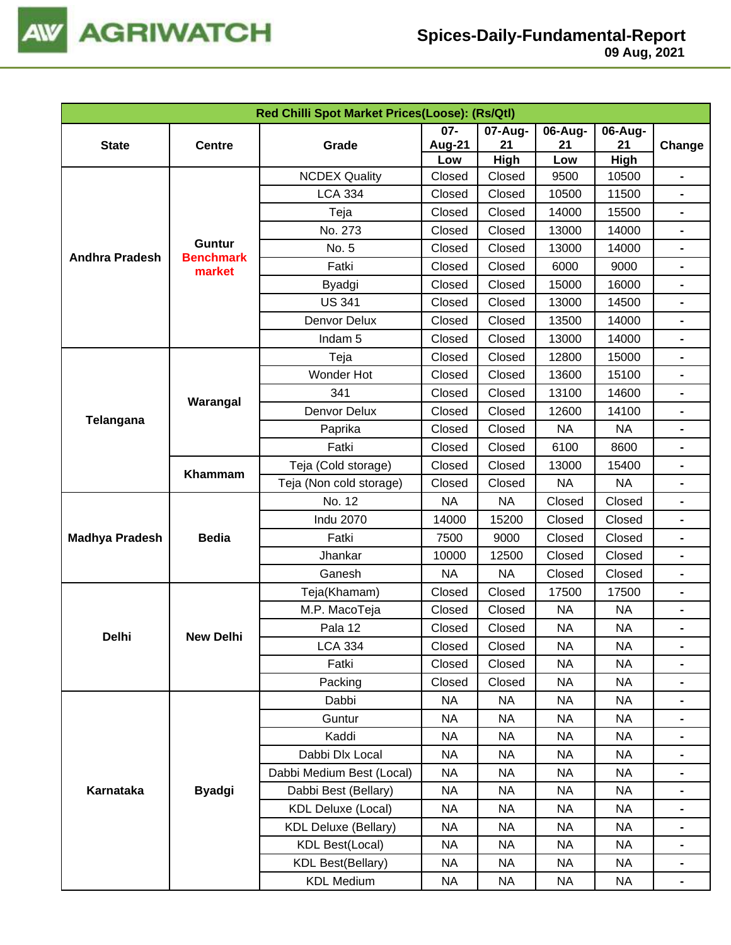

|                       | Red Chilli Spot Market Prices(Loose): (Rs/Qtl) |                              |           |             |                  |                           |                                                                                                                                                                                                                                                                                                                                                                                                                                                                                                                                                                                                                                                                                 |  |  |  |
|-----------------------|------------------------------------------------|------------------------------|-----------|-------------|------------------|---------------------------|---------------------------------------------------------------------------------------------------------------------------------------------------------------------------------------------------------------------------------------------------------------------------------------------------------------------------------------------------------------------------------------------------------------------------------------------------------------------------------------------------------------------------------------------------------------------------------------------------------------------------------------------------------------------------------|--|--|--|
|                       |                                                | $07 -$<br>07-Aug-<br>06-Aug- |           |             |                  |                           |                                                                                                                                                                                                                                                                                                                                                                                                                                                                                                                                                                                                                                                                                 |  |  |  |
| <b>State</b>          | <b>Centre</b>                                  | Grade                        | Aug-21    | 21          | 21               | 21                        | Change                                                                                                                                                                                                                                                                                                                                                                                                                                                                                                                                                                                                                                                                          |  |  |  |
|                       |                                                |                              | Low       | <b>High</b> | Low              |                           |                                                                                                                                                                                                                                                                                                                                                                                                                                                                                                                                                                                                                                                                                 |  |  |  |
|                       |                                                | <b>NCDEX Quality</b>         | Closed    | Closed      | 9500             |                           |                                                                                                                                                                                                                                                                                                                                                                                                                                                                                                                                                                                                                                                                                 |  |  |  |
|                       |                                                | <b>LCA 334</b>               | Closed    | Closed      | 10500            |                           | 06-Aug-<br>High<br>10500<br>$\blacksquare$<br>11500<br>15500<br>-<br>14000<br>14000<br>$\blacksquare$<br>9000<br>-<br>16000<br>-<br>14500<br>-<br>$\blacksquare$<br>$\blacksquare$<br>$\blacksquare$<br>$\blacksquare$<br>-<br><b>NA</b><br>$\blacksquare$<br>8600<br>-<br>-<br><b>NA</b><br>-<br>$\blacksquare$<br>$\blacksquare$<br>-<br>$\blacksquare$<br>$\blacksquare$<br><b>NA</b><br>-<br><b>NA</b><br>$\blacksquare$<br><b>NA</b><br><b>NA</b><br><b>NA</b><br><b>NA</b><br>-<br><b>NA</b><br><b>NA</b><br><b>NA</b><br>-<br><b>NA</b><br>-<br><b>NA</b><br>$\blacksquare$<br><b>NA</b><br>-<br><b>NA</b><br>$\blacksquare$<br><b>NA</b><br><b>NA</b><br>$\blacksquare$ |  |  |  |
|                       |                                                | Teja                         | Closed    | Closed      | 14000            |                           |                                                                                                                                                                                                                                                                                                                                                                                                                                                                                                                                                                                                                                                                                 |  |  |  |
|                       | <b>Guntur</b>                                  | No. 273                      | Closed    | Closed      | 13000            |                           |                                                                                                                                                                                                                                                                                                                                                                                                                                                                                                                                                                                                                                                                                 |  |  |  |
| <b>Andhra Pradesh</b> | <b>Benchmark</b>                               | No. 5                        | Closed    | Closed      | 13000            |                           |                                                                                                                                                                                                                                                                                                                                                                                                                                                                                                                                                                                                                                                                                 |  |  |  |
|                       | market                                         | Fatki                        | Closed    | Closed      | 6000             |                           |                                                                                                                                                                                                                                                                                                                                                                                                                                                                                                                                                                                                                                                                                 |  |  |  |
|                       |                                                | <b>Byadgi</b>                | Closed    | Closed      | 15000            |                           |                                                                                                                                                                                                                                                                                                                                                                                                                                                                                                                                                                                                                                                                                 |  |  |  |
|                       |                                                | <b>US 341</b>                | Closed    | Closed      | 13000            |                           |                                                                                                                                                                                                                                                                                                                                                                                                                                                                                                                                                                                                                                                                                 |  |  |  |
|                       |                                                | Denvor Delux                 | Closed    | Closed      | 13500            | 14000                     |                                                                                                                                                                                                                                                                                                                                                                                                                                                                                                                                                                                                                                                                                 |  |  |  |
|                       |                                                | Indam <sub>5</sub>           | Closed    | Closed      | 13000            | 14000                     |                                                                                                                                                                                                                                                                                                                                                                                                                                                                                                                                                                                                                                                                                 |  |  |  |
|                       |                                                | Teja                         | Closed    | Closed      | 12800            | 15000                     |                                                                                                                                                                                                                                                                                                                                                                                                                                                                                                                                                                                                                                                                                 |  |  |  |
| Telangana             |                                                | Wonder Hot                   | Closed    | Closed      | 13600            | 15100                     |                                                                                                                                                                                                                                                                                                                                                                                                                                                                                                                                                                                                                                                                                 |  |  |  |
|                       | Warangal                                       | 341                          | Closed    | Closed      | 13100            | 14600                     |                                                                                                                                                                                                                                                                                                                                                                                                                                                                                                                                                                                                                                                                                 |  |  |  |
|                       |                                                | Denvor Delux                 | Closed    | Closed      | 12600            | 14100                     |                                                                                                                                                                                                                                                                                                                                                                                                                                                                                                                                                                                                                                                                                 |  |  |  |
|                       |                                                | Paprika                      | Closed    | Closed      | <b>NA</b>        | 15400<br>Closed<br>Closed |                                                                                                                                                                                                                                                                                                                                                                                                                                                                                                                                                                                                                                                                                 |  |  |  |
|                       |                                                | Fatki                        | Closed    | Closed      | 6100             |                           |                                                                                                                                                                                                                                                                                                                                                                                                                                                                                                                                                                                                                                                                                 |  |  |  |
|                       | Khammam                                        | Teja (Cold storage)          | Closed    | Closed      | 13000            |                           |                                                                                                                                                                                                                                                                                                                                                                                                                                                                                                                                                                                                                                                                                 |  |  |  |
|                       |                                                | Teja (Non cold storage)      | Closed    | Closed      | <b>NA</b>        |                           |                                                                                                                                                                                                                                                                                                                                                                                                                                                                                                                                                                                                                                                                                 |  |  |  |
|                       |                                                | No. 12                       | <b>NA</b> | <b>NA</b>   | Closed           |                           |                                                                                                                                                                                                                                                                                                                                                                                                                                                                                                                                                                                                                                                                                 |  |  |  |
|                       |                                                | <b>Indu 2070</b>             | 14000     | 15200       | Closed           |                           |                                                                                                                                                                                                                                                                                                                                                                                                                                                                                                                                                                                                                                                                                 |  |  |  |
| <b>Madhya Pradesh</b> | <b>Bedia</b>                                   | Fatki                        | 7500      | 9000        | Closed<br>Closed |                           |                                                                                                                                                                                                                                                                                                                                                                                                                                                                                                                                                                                                                                                                                 |  |  |  |
|                       |                                                | Jhankar                      | 10000     | 12500       | Closed           | Closed                    |                                                                                                                                                                                                                                                                                                                                                                                                                                                                                                                                                                                                                                                                                 |  |  |  |
|                       |                                                | Ganesh                       | <b>NA</b> | <b>NA</b>   | Closed           | Closed                    |                                                                                                                                                                                                                                                                                                                                                                                                                                                                                                                                                                                                                                                                                 |  |  |  |
|                       |                                                | Teja(Khamam)                 | Closed    | Closed      | 17500            | 17500                     |                                                                                                                                                                                                                                                                                                                                                                                                                                                                                                                                                                                                                                                                                 |  |  |  |
|                       |                                                | M.P. MacoTeja                | Closed    | Closed      | <b>NA</b>        |                           |                                                                                                                                                                                                                                                                                                                                                                                                                                                                                                                                                                                                                                                                                 |  |  |  |
|                       |                                                | Pala 12                      | Closed    | Closed      | <b>NA</b>        |                           |                                                                                                                                                                                                                                                                                                                                                                                                                                                                                                                                                                                                                                                                                 |  |  |  |
| Delhi                 | <b>New Delhi</b>                               | <b>LCA 334</b>               | Closed    | Closed      | <b>NA</b>        |                           |                                                                                                                                                                                                                                                                                                                                                                                                                                                                                                                                                                                                                                                                                 |  |  |  |
|                       |                                                | Fatki                        | Closed    | Closed      | <b>NA</b>        |                           |                                                                                                                                                                                                                                                                                                                                                                                                                                                                                                                                                                                                                                                                                 |  |  |  |
|                       |                                                | Packing                      | Closed    | Closed      | <b>NA</b>        |                           |                                                                                                                                                                                                                                                                                                                                                                                                                                                                                                                                                                                                                                                                                 |  |  |  |
|                       |                                                | Dabbi                        | <b>NA</b> | <b>NA</b>   | <b>NA</b>        |                           |                                                                                                                                                                                                                                                                                                                                                                                                                                                                                                                                                                                                                                                                                 |  |  |  |
|                       |                                                | Guntur                       | <b>NA</b> | <b>NA</b>   | <b>NA</b>        |                           |                                                                                                                                                                                                                                                                                                                                                                                                                                                                                                                                                                                                                                                                                 |  |  |  |
|                       |                                                | Kaddi                        | <b>NA</b> | <b>NA</b>   | <b>NA</b>        |                           |                                                                                                                                                                                                                                                                                                                                                                                                                                                                                                                                                                                                                                                                                 |  |  |  |
|                       |                                                | Dabbi Dlx Local              | <b>NA</b> | NA          | <b>NA</b>        |                           |                                                                                                                                                                                                                                                                                                                                                                                                                                                                                                                                                                                                                                                                                 |  |  |  |
|                       |                                                | Dabbi Medium Best (Local)    | <b>NA</b> | <b>NA</b>   | <b>NA</b>        |                           |                                                                                                                                                                                                                                                                                                                                                                                                                                                                                                                                                                                                                                                                                 |  |  |  |
| Karnataka             | <b>Byadgi</b>                                  | Dabbi Best (Bellary)         | NA        | NA          | <b>NA</b>        |                           |                                                                                                                                                                                                                                                                                                                                                                                                                                                                                                                                                                                                                                                                                 |  |  |  |
|                       |                                                | <b>KDL Deluxe (Local)</b>    | <b>NA</b> | <b>NA</b>   | <b>NA</b>        |                           |                                                                                                                                                                                                                                                                                                                                                                                                                                                                                                                                                                                                                                                                                 |  |  |  |
|                       |                                                | <b>KDL Deluxe (Bellary)</b>  | NA        | NA          | <b>NA</b>        |                           |                                                                                                                                                                                                                                                                                                                                                                                                                                                                                                                                                                                                                                                                                 |  |  |  |
|                       |                                                | <b>KDL Best(Local)</b>       | <b>NA</b> | <b>NA</b>   | <b>NA</b>        |                           |                                                                                                                                                                                                                                                                                                                                                                                                                                                                                                                                                                                                                                                                                 |  |  |  |
|                       |                                                | <b>KDL Best(Bellary)</b>     | NA        | NA          | <b>NA</b>        |                           |                                                                                                                                                                                                                                                                                                                                                                                                                                                                                                                                                                                                                                                                                 |  |  |  |
|                       |                                                | <b>KDL Medium</b>            | NA        | NA          | <b>NA</b>        | NA                        | $\blacksquare$                                                                                                                                                                                                                                                                                                                                                                                                                                                                                                                                                                                                                                                                  |  |  |  |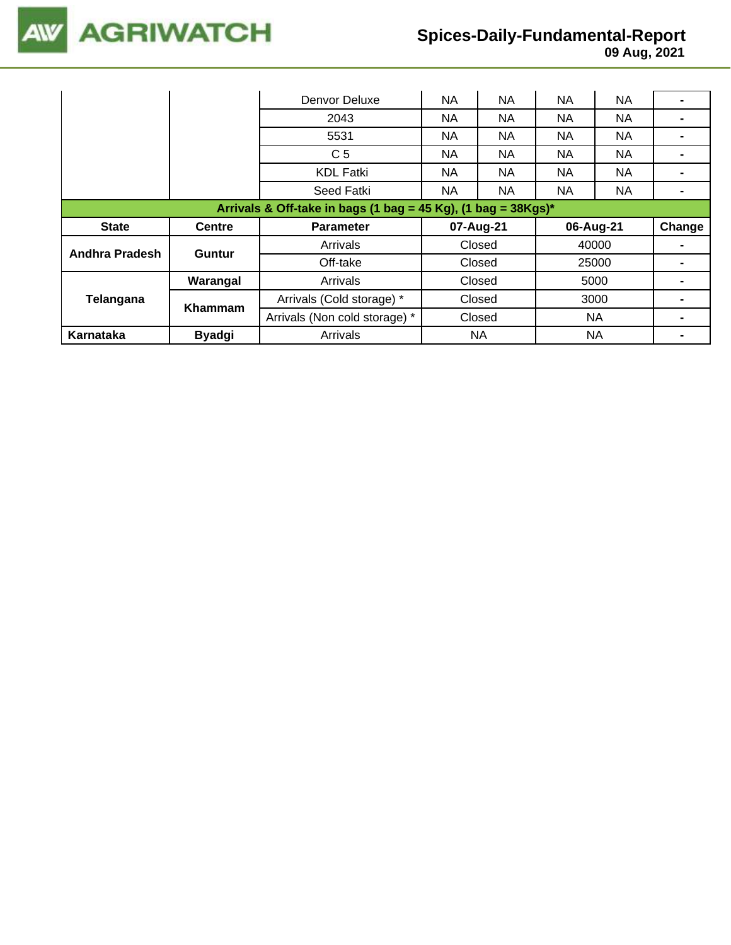

## **Spices-Daily-Fundamental-Report**

|                                                                  |               | Denvor Deluxe                 | NA       | NA        | <b>NA</b> | <b>NA</b> |        |  |  |
|------------------------------------------------------------------|---------------|-------------------------------|----------|-----------|-----------|-----------|--------|--|--|
|                                                                  |               | 2043                          | NA<br>NA |           | <b>NA</b> | <b>NA</b> |        |  |  |
|                                                                  |               | 5531                          | NA.      | NA.       | <b>NA</b> | NA.       |        |  |  |
|                                                                  |               | C <sub>5</sub>                | NA.      | NA.       | <b>NA</b> | NA.       |        |  |  |
|                                                                  |               | <b>KDL Fatki</b>              | NA.      | NA        | <b>NA</b> | NA.       |        |  |  |
|                                                                  |               | Seed Fatki                    | NA       | <b>NA</b> | <b>NA</b> | <b>NA</b> |        |  |  |
| Arrivals & Off-take in bags (1 bag = 45 Kg), (1 bag = $38Kgs$ )* |               |                               |          |           |           |           |        |  |  |
|                                                                  |               |                               |          |           |           |           |        |  |  |
| <b>State</b>                                                     | <b>Centre</b> | <b>Parameter</b>              |          | 07-Aug-21 |           | 06-Aug-21 | Change |  |  |
|                                                                  |               | Arrivals                      |          | Closed    |           | 40000     |        |  |  |
| <b>Andhra Pradesh</b>                                            | Guntur        | Off-take                      |          | Closed    |           | 25000     |        |  |  |
|                                                                  | Warangal      | Arrivals                      |          | Closed    |           | 5000      |        |  |  |
| Telangana                                                        |               | Arrivals (Cold storage) *     |          | Closed    |           | 3000      |        |  |  |
|                                                                  | Khammam       | Arrivals (Non cold storage) * |          | Closed    |           | NA        |        |  |  |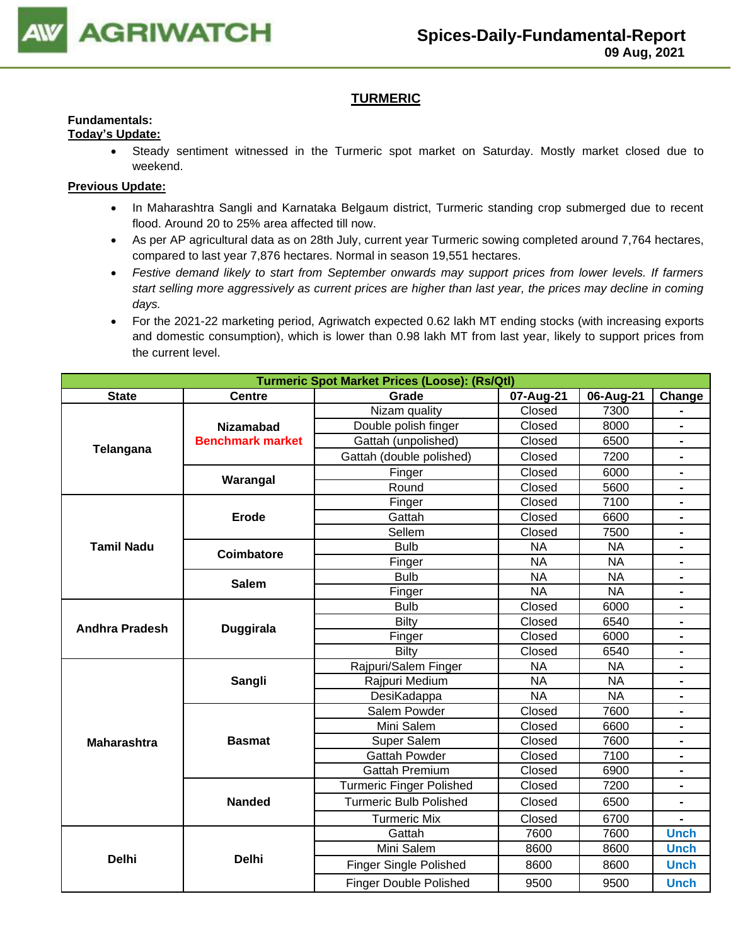

## **TURMERIC**

#### **Fundamentals: Today's Update:**

• Steady sentiment witnessed in the Turmeric spot market on Saturday. Mostly market closed due to weekend.

- In Maharashtra Sangli and Karnataka Belgaum district, Turmeric standing crop submerged due to recent flood. Around 20 to 25% area affected till now.
- As per AP agricultural data as on 28th July, current year Turmeric sowing completed around 7,764 hectares, compared to last year 7,876 hectares. Normal in season 19,551 hectares.
- *Festive demand likely to start from September onwards may support prices from lower levels. If farmers start selling more aggressively as current prices are higher than last year, the prices may decline in coming days.*
- For the 2021-22 marketing period, Agriwatch expected 0.62 lakh MT ending stocks (with increasing exports and domestic consumption), which is lower than 0.98 lakh MT from last year, likely to support prices from the current level.

|                       | <b>Turmeric Spot Market Prices (Loose): (Rs/Qtl)</b> |                                                                                                                                                                                                                                                                                                                                                                 |           |           |                                                                                                                                                                               |  |  |  |  |
|-----------------------|------------------------------------------------------|-----------------------------------------------------------------------------------------------------------------------------------------------------------------------------------------------------------------------------------------------------------------------------------------------------------------------------------------------------------------|-----------|-----------|-------------------------------------------------------------------------------------------------------------------------------------------------------------------------------|--|--|--|--|
| <b>State</b>          | <b>Centre</b>                                        | Grade                                                                                                                                                                                                                                                                                                                                                           | 07-Aug-21 | 06-Aug-21 | Change                                                                                                                                                                        |  |  |  |  |
|                       |                                                      | Nizam quality                                                                                                                                                                                                                                                                                                                                                   | Closed    | 7300      |                                                                                                                                                                               |  |  |  |  |
|                       | <b>Nizamabad</b>                                     | Double polish finger                                                                                                                                                                                                                                                                                                                                            | Closed    | 8000      |                                                                                                                                                                               |  |  |  |  |
|                       | <b>Benchmark market</b>                              | Gattah (unpolished)                                                                                                                                                                                                                                                                                                                                             | Closed    | 6500      |                                                                                                                                                                               |  |  |  |  |
| Telangana             |                                                      | Gattah (double polished)                                                                                                                                                                                                                                                                                                                                        | Closed    | 7200      | $\blacksquare$                                                                                                                                                                |  |  |  |  |
|                       |                                                      | Finger                                                                                                                                                                                                                                                                                                                                                          | Closed    | 6000      |                                                                                                                                                                               |  |  |  |  |
|                       | Warangal                                             | Round                                                                                                                                                                                                                                                                                                                                                           | Closed    | 5600      | $\blacksquare$                                                                                                                                                                |  |  |  |  |
|                       |                                                      | Finger                                                                                                                                                                                                                                                                                                                                                          | Closed    | 7100      | Ξ.                                                                                                                                                                            |  |  |  |  |
|                       | <b>Erode</b>                                         | Gattah                                                                                                                                                                                                                                                                                                                                                          | Closed    | 6600      | $\blacksquare$                                                                                                                                                                |  |  |  |  |
|                       |                                                      | Sellem                                                                                                                                                                                                                                                                                                                                                          | Closed    | 7500      |                                                                                                                                                                               |  |  |  |  |
| <b>Tamil Nadu</b>     | <b>Coimbatore</b>                                    | <b>Bulb</b>                                                                                                                                                                                                                                                                                                                                                     | <b>NA</b> | <b>NA</b> | $\blacksquare$                                                                                                                                                                |  |  |  |  |
|                       |                                                      | Finger                                                                                                                                                                                                                                                                                                                                                          | <b>NA</b> | <b>NA</b> | $\blacksquare$<br>$\blacksquare$<br>Ξ.<br>$\blacksquare$<br>$\blacksquare$<br>$\blacksquare$<br>$\blacksquare$<br>$\blacksquare$<br><b>Unch</b><br><b>Unch</b><br><b>Unch</b> |  |  |  |  |
|                       | <b>Salem</b>                                         | <b>Bulb</b>                                                                                                                                                                                                                                                                                                                                                     | <b>NA</b> | <b>NA</b> |                                                                                                                                                                               |  |  |  |  |
|                       |                                                      | Finger                                                                                                                                                                                                                                                                                                                                                          | <b>NA</b> | <b>NA</b> |                                                                                                                                                                               |  |  |  |  |
|                       |                                                      | <b>Bulb</b>                                                                                                                                                                                                                                                                                                                                                     | Closed    | 6000      |                                                                                                                                                                               |  |  |  |  |
| <b>Andhra Pradesh</b> | <b>Duggirala</b>                                     |                                                                                                                                                                                                                                                                                                                                                                 |           |           |                                                                                                                                                                               |  |  |  |  |
|                       |                                                      | Finger                                                                                                                                                                                                                                                                                                                                                          |           | 6000      |                                                                                                                                                                               |  |  |  |  |
|                       |                                                      | <b>Bilty</b>                                                                                                                                                                                                                                                                                                                                                    | Closed    | 6540      |                                                                                                                                                                               |  |  |  |  |
|                       |                                                      |                                                                                                                                                                                                                                                                                                                                                                 |           |           |                                                                                                                                                                               |  |  |  |  |
|                       | Sangli                                               |                                                                                                                                                                                                                                                                                                                                                                 |           |           |                                                                                                                                                                               |  |  |  |  |
|                       |                                                      |                                                                                                                                                                                                                                                                                                                                                                 |           |           |                                                                                                                                                                               |  |  |  |  |
|                       |                                                      |                                                                                                                                                                                                                                                                                                                                                                 |           | 7600      |                                                                                                                                                                               |  |  |  |  |
|                       |                                                      | <b>Bilty</b><br>Closed<br>6540<br>Closed<br>Rajpuri/Salem Finger<br><b>NA</b><br><b>NA</b><br>Rajpuri Medium<br><b>NA</b><br><b>NA</b><br>DesiKadappa<br><b>NA</b><br><b>NA</b><br>Salem Powder<br>Closed<br>Mini Salem<br>Closed<br>6600<br>Super Salem<br>7600<br>Closed<br>7100<br><b>Gattah Powder</b><br>Closed<br><b>Gattah Premium</b><br>Closed<br>6900 |           |           |                                                                                                                                                                               |  |  |  |  |
| <b>Maharashtra</b>    | <b>Basmat</b>                                        |                                                                                                                                                                                                                                                                                                                                                                 |           |           |                                                                                                                                                                               |  |  |  |  |
|                       |                                                      |                                                                                                                                                                                                                                                                                                                                                                 |           |           |                                                                                                                                                                               |  |  |  |  |
|                       |                                                      |                                                                                                                                                                                                                                                                                                                                                                 |           |           |                                                                                                                                                                               |  |  |  |  |
|                       |                                                      | <b>Turmeric Finger Polished</b>                                                                                                                                                                                                                                                                                                                                 | Closed    | 7200      |                                                                                                                                                                               |  |  |  |  |
|                       | <b>Nanded</b>                                        | <b>Turmeric Bulb Polished</b>                                                                                                                                                                                                                                                                                                                                   | Closed    | 6500      |                                                                                                                                                                               |  |  |  |  |
|                       |                                                      | <b>Turmeric Mix</b>                                                                                                                                                                                                                                                                                                                                             | Closed    | 6700      |                                                                                                                                                                               |  |  |  |  |
|                       |                                                      | Gattah                                                                                                                                                                                                                                                                                                                                                          | 7600      | 7600      |                                                                                                                                                                               |  |  |  |  |
|                       |                                                      | Mini Salem                                                                                                                                                                                                                                                                                                                                                      | 8600      | 8600      |                                                                                                                                                                               |  |  |  |  |
| <b>Delhi</b>          | <b>Delhi</b>                                         | <b>Finger Single Polished</b>                                                                                                                                                                                                                                                                                                                                   | 8600      | 8600      |                                                                                                                                                                               |  |  |  |  |
|                       |                                                      | <b>Finger Double Polished</b>                                                                                                                                                                                                                                                                                                                                   | 9500      | 9500      | <b>Unch</b>                                                                                                                                                                   |  |  |  |  |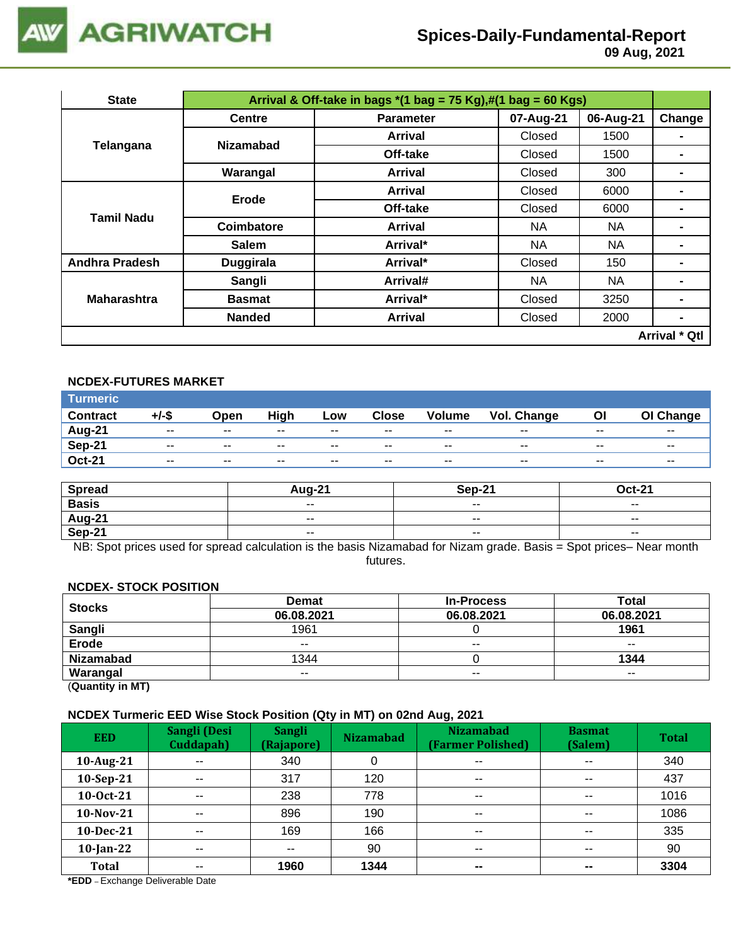

# **Spices-Daily-Fundamental-Report**

 **09 Aug, 2021**

| <b>State</b>          |                  | Arrival & Off-take in bags $*(1 \text{ bag} = 75 \text{ Kg}),\#(1 \text{ bag} = 60 \text{ Kg})$ |           |           |                      |  |  |  |  |  |
|-----------------------|------------------|-------------------------------------------------------------------------------------------------|-----------|-----------|----------------------|--|--|--|--|--|
|                       | <b>Centre</b>    | <b>Parameter</b>                                                                                | 07-Aug-21 | 06-Aug-21 | Change               |  |  |  |  |  |
|                       | <b>Nizamabad</b> | <b>Arrival</b>                                                                                  | Closed    | 1500      | $\blacksquare$       |  |  |  |  |  |
| Telangana             |                  | Off-take                                                                                        | Closed    | 1500      | -                    |  |  |  |  |  |
|                       | Warangal         | <b>Arrival</b>                                                                                  | Closed    | 300       | -                    |  |  |  |  |  |
|                       | Erode            | <b>Arrival</b>                                                                                  | Closed    | 6000      | $\blacksquare$       |  |  |  |  |  |
| Tamil Nadu            |                  | Off-take                                                                                        | Closed    | 6000      | ۰                    |  |  |  |  |  |
|                       | Coimbatore       | Arrival                                                                                         | <b>NA</b> | NA.       | -                    |  |  |  |  |  |
|                       | <b>Salem</b>     | Arrival*                                                                                        | NA        | NA        |                      |  |  |  |  |  |
| <b>Andhra Pradesh</b> | <b>Duggirala</b> | Arrival*                                                                                        | Closed    | 150       |                      |  |  |  |  |  |
|                       | Sangli           | Arrival#                                                                                        | <b>NA</b> | <b>NA</b> | ۰                    |  |  |  |  |  |
| <b>Maharashtra</b>    | <b>Basmat</b>    | Arrival*                                                                                        | Closed    | 3250      |                      |  |  |  |  |  |
|                       | <b>Nanded</b>    | <b>Arrival</b>                                                                                  | Closed    | 2000      | $\blacksquare$       |  |  |  |  |  |
|                       |                  |                                                                                                 |           |           | <b>Arrival * Qtl</b> |  |  |  |  |  |

## **NCDEX-FUTURES MARKET**

| <b>Turmeric</b> |               |       |       |       |              |               |             |       |           |
|-----------------|---------------|-------|-------|-------|--------------|---------------|-------------|-------|-----------|
| <b>Contract</b> | +/-\$         | Open  | High  | Low   | <b>Close</b> | <b>Volume</b> | Vol. Change | OI    | OI Change |
| Aug-21          | $\sim$ $\sim$ | $- -$ | $- -$ | $- -$ | $- -$        | $- -$         | $- -$       | $- -$ | $- -$     |
| Sep-21          | $- -$         | $- -$ | $- -$ | $- -$ | $- -$        | --            | $- -$       | $- -$ | $- -$     |
| <b>Oct-21</b>   | $\sim$ $\sim$ | $- -$ | $- -$ | $- -$ | $- -$        | $- -$         | $- -$       | $- -$ | $- -$     |

| <b>Spread</b> | <b>Aug-21</b> | Sep-21 | Oct-21                   |
|---------------|---------------|--------|--------------------------|
| <b>Basis</b>  | $- -$         | $- -$  | $\sim$ $\sim$            |
| Aug-21        | $\sim$ $\sim$ | $- -$  | $\overline{\phantom{a}}$ |
| Sep-21        | $- -$         | $- -$  | $\overline{\phantom{a}}$ |

NB: Spot prices used for spread calculation is the basis Nizamabad for Nizam grade. Basis = Spot prices– Near month futures.

#### **NCDEX- STOCK POSITION**

| <b>Stocks</b>    | <b>Demat</b> | <b>In-Process</b> | Total         |
|------------------|--------------|-------------------|---------------|
|                  | 06.08.2021   | 06.08.2021        | 06.08.2021    |
| Sangli           | 1961         |                   | 1961          |
| Erode            | $- -$        | $- -$             | $\sim$ $\sim$ |
| <b>Nizamabad</b> | 1344         |                   | 1344          |
| Warangal         | $- -$        | $- -$             | $- -$         |

(**Quantity in MT)**

#### **NCDEX Turmeric EED Wise Stock Position (Qty in MT) on 02nd Aug, 2021**

| <b>EED</b>   | Sangli (Desi<br>Cuddapah) | <b>Sangli</b><br>(Rajapore) | . .<br><b>Nizamabad</b> | <b>Nizamabad</b><br>(Farmer Polished) | <b>Basmat</b><br>(Salem) | <b>Total</b> |
|--------------|---------------------------|-----------------------------|-------------------------|---------------------------------------|--------------------------|--------------|
| 10-Aug-21    | $\sim$ $\sim$             | 340                         | 0                       | $\overline{\phantom{a}}$              | $\overline{\phantom{a}}$ | 340          |
| 10-Sep-21    | $- -$                     | 317                         | 120                     | $\sim$ $\sim$                         | $\overline{\phantom{a}}$ | 437          |
| 10-Oct-21    | $\sim$ $\sim$             | 238                         | 778                     | $\overline{\phantom{a}}$              | $\sim$ $\sim$            | 1016         |
| 10-Nov-21    | $-$                       | 896                         | 190                     | $- -$                                 | $\sim$ $\sim$            | 1086         |
| $10$ -Dec-21 | $- -$                     | 169                         | 166                     | $\sim$ $\sim$                         | $\sim$ $\sim$            | 335          |
| $10$ -Jan-22 | $- -$                     | $- -$                       | 90                      | $\sim$ $\sim$                         | $\sim$ $\sim$            | 90           |
| <b>Total</b> | $- -$                     | 1960                        | 1344                    | $\sim$                                | $\sim$                   | 3304         |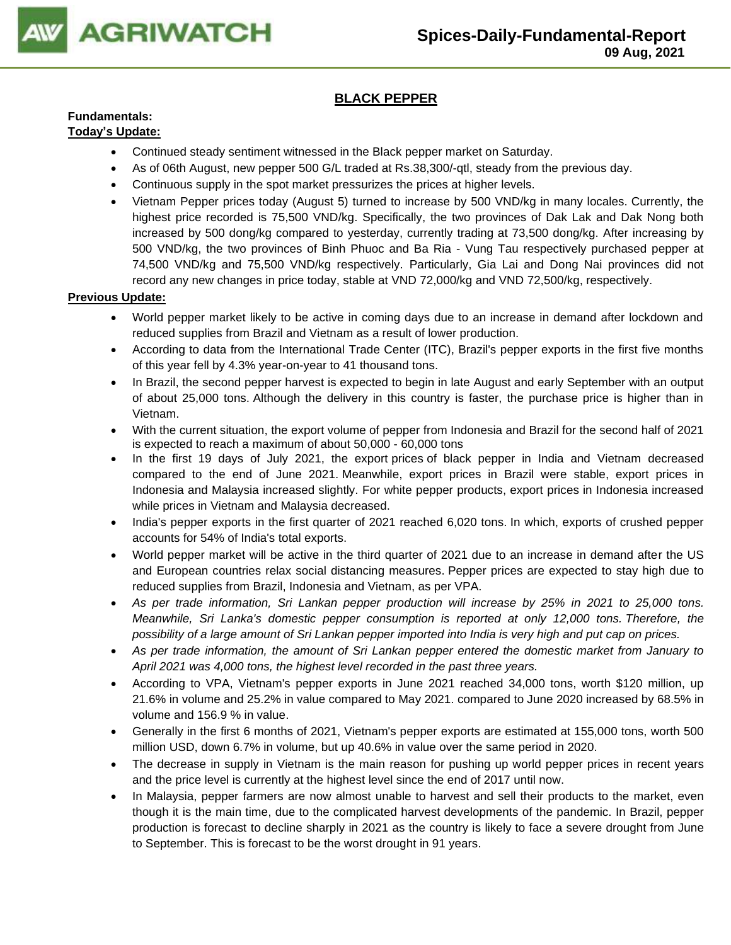

## **BLACK PEPPER**

## **Fundamentals:**

### **Today's Update:**

- Continued steady sentiment witnessed in the Black pepper market on Saturday.
- As of 06th August, new pepper 500 G/L traded at Rs.38,300/-qtl, steady from the previous day.
- Continuous supply in the spot market pressurizes the prices at higher levels.
- Vietnam Pepper prices today (August 5) turned to increase by 500 VND/kg in many locales. Currently, the highest price recorded is 75,500 VND/kg. Specifically, the two provinces of Dak Lak and Dak Nong both increased by 500 dong/kg compared to yesterday, currently trading at 73,500 dong/kg. After increasing by 500 VND/kg, the two provinces of Binh Phuoc and Ba Ria - Vung Tau respectively purchased pepper at 74,500 VND/kg and 75,500 VND/kg respectively. Particularly, Gia Lai and Dong Nai provinces did not record any new changes in price today, stable at VND 72,000/kg and VND 72,500/kg, respectively.

- World pepper market likely to be active in coming days due to an increase in demand after lockdown and reduced supplies from Brazil and Vietnam as a result of lower production.
- According to data from the International Trade Center (ITC), Brazil's pepper exports in the first five months of this year fell by 4.3% year-on-year to 41 thousand tons.
- In Brazil, the second pepper harvest is expected to begin in late August and early September with an output of about 25,000 tons. Although the delivery in this country is faster, the purchase price is higher than in Vietnam.
- With the current situation, the export volume of pepper from Indonesia and Brazil for the second half of 2021 is expected to reach a maximum of about 50,000 - 60,000 tons
- In the first 19 days of July 2021, the export prices of black pepper in India and Vietnam decreased compared to the end of June 2021. Meanwhile, export prices in Brazil were stable, export prices in Indonesia and Malaysia increased slightly. For white pepper products, export prices in Indonesia increased while prices in Vietnam and Malaysia decreased.
- India's pepper exports in the first quarter of 2021 reached 6,020 tons. In which, exports of crushed pepper accounts for 54% of India's total exports.
- World pepper market will be active in the third quarter of 2021 due to an increase in demand after the US and European countries relax social distancing measures. Pepper prices are expected to stay high due to reduced supplies from Brazil, Indonesia and Vietnam, as per VPA.
- *As per trade information, Sri Lankan pepper production will increase by 25% in 2021 to 25,000 tons. Meanwhile, Sri Lanka's domestic pepper consumption is reported at only 12,000 tons. Therefore, the possibility of a large amount of Sri Lankan pepper imported into India is very high and put cap on prices.*
- *As per trade information, the amount of Sri Lankan pepper entered the domestic market from January to April 2021 was 4,000 tons, the highest level recorded in the past three years.*
- According to VPA, Vietnam's pepper exports in June 2021 reached 34,000 tons, worth \$120 million, up 21.6% in volume and 25.2% in value compared to May 2021. compared to June 2020 increased by 68.5% in volume and 156.9 % in value.
- Generally in the first 6 months of 2021, Vietnam's pepper exports are estimated at 155,000 tons, worth 500 million USD, down 6.7% in volume, but up 40.6% in value over the same period in 2020.
- The decrease in supply in Vietnam is the main reason for pushing up world pepper prices in recent years and the price level is currently at the highest level since the end of 2017 until now.
- In Malaysia, pepper farmers are now almost unable to harvest and sell their products to the market, even though it is the main time, due to the complicated harvest developments of the pandemic. In Brazil, pepper production is forecast to decline sharply in 2021 as the country is likely to face a severe drought from June to September. This is forecast to be the worst drought in 91 years.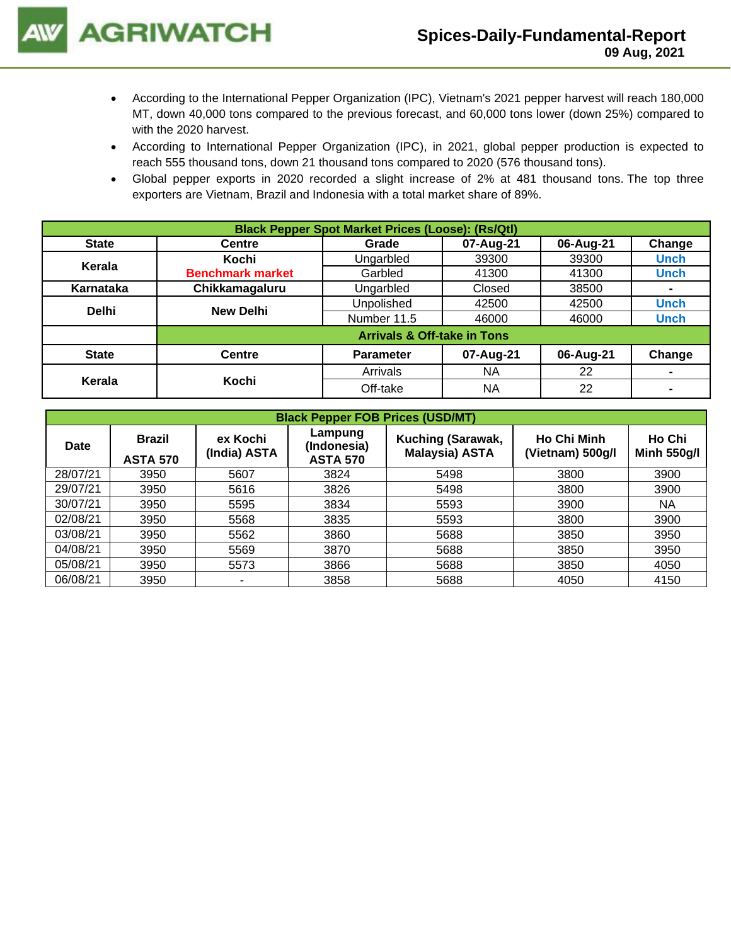- According to the International Pepper Organization (IPC), Vietnam's 2021 pepper harvest will reach 180,000 MT, down 40,000 tons compared to the previous forecast, and 60,000 tons lower (down 25%) compared to with the 2020 harvest.
- According to International Pepper Organization (IPC), in 2021, global pepper production is expected to reach 555 thousand tons, down 21 thousand tons compared to 2020 (576 thousand tons).
- Global pepper exports in 2020 recorded a slight increase of 2% at 481 thousand tons. The top three exporters are Vietnam, Brazil and Indonesia with a total market share of 89%.

| <b>Black Pepper Spot Market Prices (Loose): (Rs/Qtl)</b> |                                        |                   |           |           |             |  |  |  |
|----------------------------------------------------------|----------------------------------------|-------------------|-----------|-----------|-------------|--|--|--|
| <b>State</b>                                             | <b>Centre</b>                          | Grade             | 07-Aug-21 | 06-Aug-21 | Change      |  |  |  |
| Kerala                                                   | Kochi                                  | Ungarbled         | 39300     | 39300     | <b>Unch</b> |  |  |  |
|                                                          | <b>Benchmark market</b>                | Garbled           | 41300     | 41300     | <b>Unch</b> |  |  |  |
| Karnataka                                                | Chikkamagaluru                         | Ungarbled         | Closed    | 38500     | ۰           |  |  |  |
| <b>Delhi</b>                                             | <b>New Delhi</b>                       | <b>Unpolished</b> | 42500     | 42500     | <b>Unch</b> |  |  |  |
|                                                          |                                        | Number 11.5       | 46000     | 46000     | <b>Unch</b> |  |  |  |
|                                                          | <b>Arrivals &amp; Off-take in Tons</b> |                   |           |           |             |  |  |  |
| <b>State</b>                                             | <b>Centre</b>                          | <b>Parameter</b>  | 07-Aug-21 | 06-Aug-21 | Change      |  |  |  |
|                                                          |                                        | Arrivals          | <b>NA</b> | 22        |             |  |  |  |
| Kerala                                                   | Kochi                                  | Off-take          | NA        | 22        |             |  |  |  |

| <b>Black Pepper FOB Prices (USD/MT)</b> |                                  |                          |                                           |                                        |                              |           |  |  |  |  |
|-----------------------------------------|----------------------------------|--------------------------|-------------------------------------------|----------------------------------------|------------------------------|-----------|--|--|--|--|
| <b>Date</b>                             | <b>Brazil</b><br><b>ASTA 570</b> | ex Kochi<br>(India) ASTA | Lampung<br>(Indonesia)<br><b>ASTA 570</b> | <b>Ho Chi Minh</b><br>(Vietnam) 500g/l | Ho Chi<br><b>Minh 550g/l</b> |           |  |  |  |  |
| 28/07/21                                | 3950                             | 5607                     | 3824                                      | 5498                                   | 3800                         | 3900      |  |  |  |  |
| 29/07/21                                | 3950                             | 5616                     | 3826                                      | 5498                                   | 3800                         | 3900      |  |  |  |  |
| 30/07/21                                | 3950                             | 5595                     | 3834                                      | 5593                                   | 3900                         | <b>NA</b> |  |  |  |  |
| 02/08/21                                | 3950                             | 5568                     | 3835                                      | 5593                                   | 3800                         | 3900      |  |  |  |  |
| 03/08/21                                | 3950                             | 5562                     | 3860                                      | 5688                                   | 3850                         | 3950      |  |  |  |  |
| 04/08/21                                | 3950                             | 5569                     | 3870                                      | 5688                                   | 3850                         | 3950      |  |  |  |  |
| 05/08/21                                | 3950                             | 5573                     | 3866                                      | 5688                                   | 3850                         | 4050      |  |  |  |  |
| 06/08/21                                | 3950                             | ۰                        | 3858                                      | 5688                                   | 4050                         | 4150      |  |  |  |  |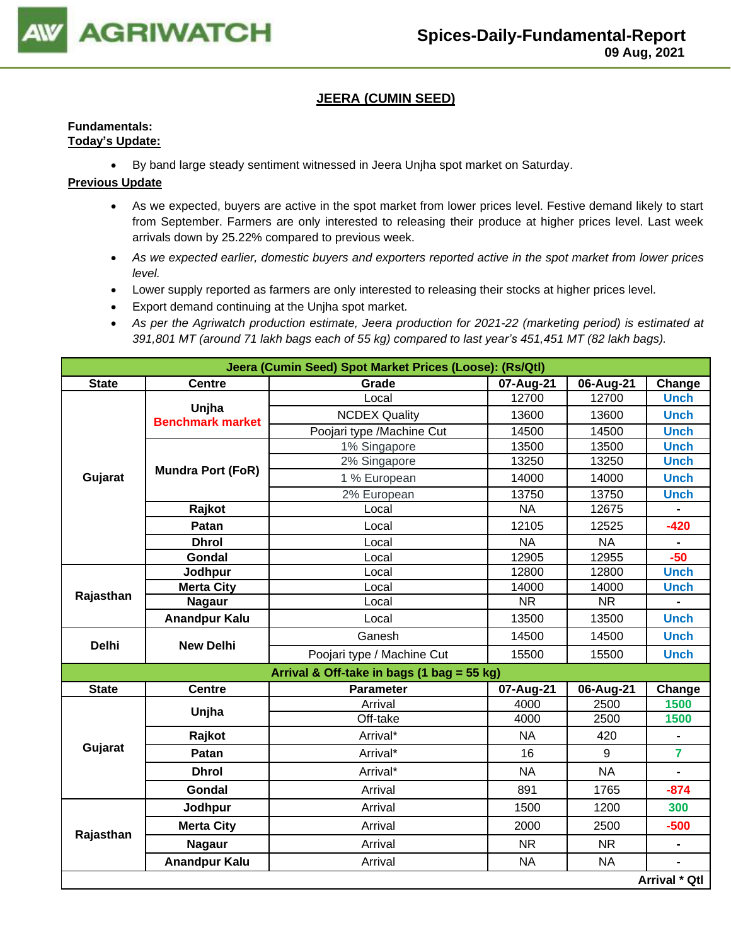

### **JEERA (CUMIN SEED)**

#### **Fundamentals: Today's Update:**

• By band large steady sentiment witnessed in Jeera Unjha spot market on Saturday.

- As we expected, buyers are active in the spot market from lower prices level. Festive demand likely to start from September. Farmers are only interested to releasing their produce at higher prices level. Last week arrivals down by 25.22% compared to previous week.
- *As we expected earlier, domestic buyers and exporters reported active in the spot market from lower prices level.*
- Lower supply reported as farmers are only interested to releasing their stocks at higher prices level.
- Export demand continuing at the Unjha spot market.
- *As per the Agriwatch production estimate, Jeera production for 2021-22 (marketing period) is estimated at 391,801 MT (around 71 lakh bags each of 55 kg) compared to last year's 451,451 MT (82 lakh bags).*

|              | Jeera (Cumin Seed) Spot Market Prices (Loose): (Rs/Qtl) |                                            |           |           |                      |  |  |  |  |
|--------------|---------------------------------------------------------|--------------------------------------------|-----------|-----------|----------------------|--|--|--|--|
| <b>State</b> | <b>Centre</b>                                           | Grade                                      | 07-Aug-21 | 06-Aug-21 | Change               |  |  |  |  |
|              |                                                         | Local                                      | 12700     | 12700     | <b>Unch</b>          |  |  |  |  |
|              | Unjha<br><b>Benchmark market</b>                        | <b>NCDEX Quality</b>                       | 13600     | 13600     | <b>Unch</b>          |  |  |  |  |
|              |                                                         | Poojari type /Machine Cut                  | 14500     | 14500     | <b>Unch</b>          |  |  |  |  |
|              |                                                         | 1% Singapore                               | 13500     | 13500     | <b>Unch</b>          |  |  |  |  |
|              | <b>Mundra Port (FoR)</b>                                | 2% Singapore                               | 13250     | 13250     | <b>Unch</b>          |  |  |  |  |
| Gujarat      |                                                         | 1 % European                               | 14000     | 14000     | <b>Unch</b>          |  |  |  |  |
|              |                                                         | 2% European                                | 13750     | 13750     | <b>Unch</b>          |  |  |  |  |
|              | Rajkot                                                  | Local                                      | <b>NA</b> | 12675     |                      |  |  |  |  |
|              | Patan                                                   | Local                                      | 12105     | 12525     | $-420$               |  |  |  |  |
|              | <b>Dhrol</b>                                            | Local                                      | <b>NA</b> | <b>NA</b> |                      |  |  |  |  |
|              | Gondal                                                  | Local                                      | 12905     | 12955     | $-50$                |  |  |  |  |
| Rajasthan    | Jodhpur                                                 | Local                                      | 12800     | 12800     | <b>Unch</b>          |  |  |  |  |
|              | <b>Merta City</b>                                       | Local                                      | 14000     | 14000     | <b>Unch</b>          |  |  |  |  |
|              | <b>Nagaur</b>                                           | Local                                      | <b>NR</b> | <b>NR</b> |                      |  |  |  |  |
|              | <b>Anandpur Kalu</b>                                    | Local                                      | 13500     | 13500     | <b>Unch</b>          |  |  |  |  |
| <b>Delhi</b> | <b>New Delhi</b>                                        | Ganesh                                     | 14500     | 14500     | <b>Unch</b>          |  |  |  |  |
|              |                                                         | Poojari type / Machine Cut                 | 15500     | 15500     | <b>Unch</b>          |  |  |  |  |
|              |                                                         | Arrival & Off-take in bags (1 bag = 55 kg) |           |           |                      |  |  |  |  |
| <b>State</b> | <b>Centre</b>                                           | <b>Parameter</b>                           | 07-Aug-21 | 06-Aug-21 | Change               |  |  |  |  |
|              | Unjha                                                   | Arrival                                    | 4000      | 2500      | 1500                 |  |  |  |  |
|              |                                                         | Off-take                                   | 4000      | 2500      | 1500                 |  |  |  |  |
|              | Rajkot                                                  | Arrival*                                   | <b>NA</b> | 420       |                      |  |  |  |  |
| Gujarat      | Patan                                                   | Arrival*                                   | 16        | 9         | $\overline{7}$       |  |  |  |  |
|              | <b>Dhrol</b>                                            | Arrival*                                   | <b>NA</b> | <b>NA</b> | $\blacksquare$       |  |  |  |  |
|              | Gondal                                                  | Arrival                                    | 891       | 1765      | $-874$               |  |  |  |  |
|              | Jodhpur                                                 | Arrival                                    | 1500      | 1200      | 300                  |  |  |  |  |
|              | <b>Merta City</b>                                       | Arrival                                    | 2000      | 2500      | $-500$               |  |  |  |  |
| Rajasthan    | <b>Nagaur</b>                                           | Arrival                                    | <b>NR</b> | <b>NR</b> | $\blacksquare$       |  |  |  |  |
|              | <b>Anandpur Kalu</b>                                    | Arrival                                    | <b>NA</b> | <b>NA</b> |                      |  |  |  |  |
|              |                                                         |                                            |           |           | <b>Arrival * Qtl</b> |  |  |  |  |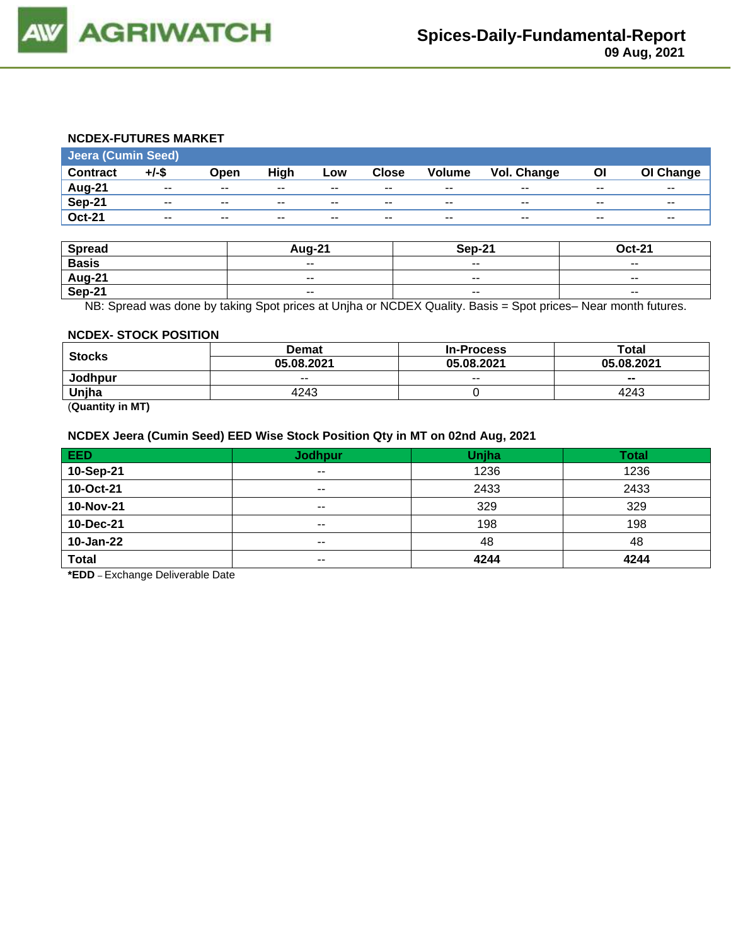

#### **NCDEX-FUTURES MARKET**

| <b>Jeera (Cumin Seed)</b> |          |       |       |       |              |                          |                    |       |           |
|---------------------------|----------|-------|-------|-------|--------------|--------------------------|--------------------|-------|-----------|
| <b>Contract</b>           | $+/-$ \$ | Open  | High  | Low   | <b>Close</b> | <b>Volume</b>            | <b>Vol. Change</b> | Οl    | OI Change |
| Aug-21                    | $- -$    | $- -$ | $- -$ | $- -$ | $- -$        | $- -$                    | $- -$              | $- -$ | $- -$     |
| Sep-21                    | $- -$    | $- -$ | $- -$ | $- -$ | $- -$        | $- -$                    | $- -$              | $- -$ | $- -$     |
| <b>Oct-21</b>             | $- -$    | $- -$ | $- -$ | $- -$ | $- -$        | $\overline{\phantom{a}}$ | $- -$              | $- -$ | $- -$     |

| <b>Spread</b> | <b>Aug-21</b>            | Sep-21                   | <b>Oct-21</b> |
|---------------|--------------------------|--------------------------|---------------|
| <b>Basis</b>  | $- -$                    | $\sim$ $\sim$            | $- -$         |
| Aug-21        | $\overline{\phantom{a}}$ | $\overline{\phantom{a}}$ | $ -$          |
| <b>Sep-21</b> | $\overline{\phantom{a}}$ | $\sim$ $\sim$            | $- -$         |

NB: Spread was done by taking Spot prices at Unjha or NCDEX Quality. Basis = Spot prices– Near month futures.

#### **NCDEX- STOCK POSITION**

| <b>Stocks</b>                     | Demat      | <b>In-Process</b> | Total      |  |
|-----------------------------------|------------|-------------------|------------|--|
|                                   | 05.08.2021 | 05.08.2021        | 05.08.2021 |  |
| Jodhpur                           | $- -$      | $- -$             | $- -$      |  |
| Unjha                             | 4243       |                   | 4243       |  |
| $\overline{\phantom{a}}$<br>----- |            |                   |            |  |

(**Quantity in MT)**

#### **NCDEX Jeera (Cumin Seed) EED Wise Stock Position Qty in MT on 02nd Aug, 2021**

| <b>EED</b>   | <b>Jodhpur</b> | Unjha | <b>Total</b> |
|--------------|----------------|-------|--------------|
| 10-Sep-21    | $\sim$ $\sim$  | 1236  | 1236         |
| 10-Oct-21    | $- -$          | 2433  | 2433         |
| 10-Nov-21    | $- -$          | 329   | 329          |
| 10-Dec-21    | $- -$          | 198   | 198          |
| 10-Jan-22    | $\sim$         | 48    | 48           |
| <b>Total</b> | $- -$          | 4244  | 4244         |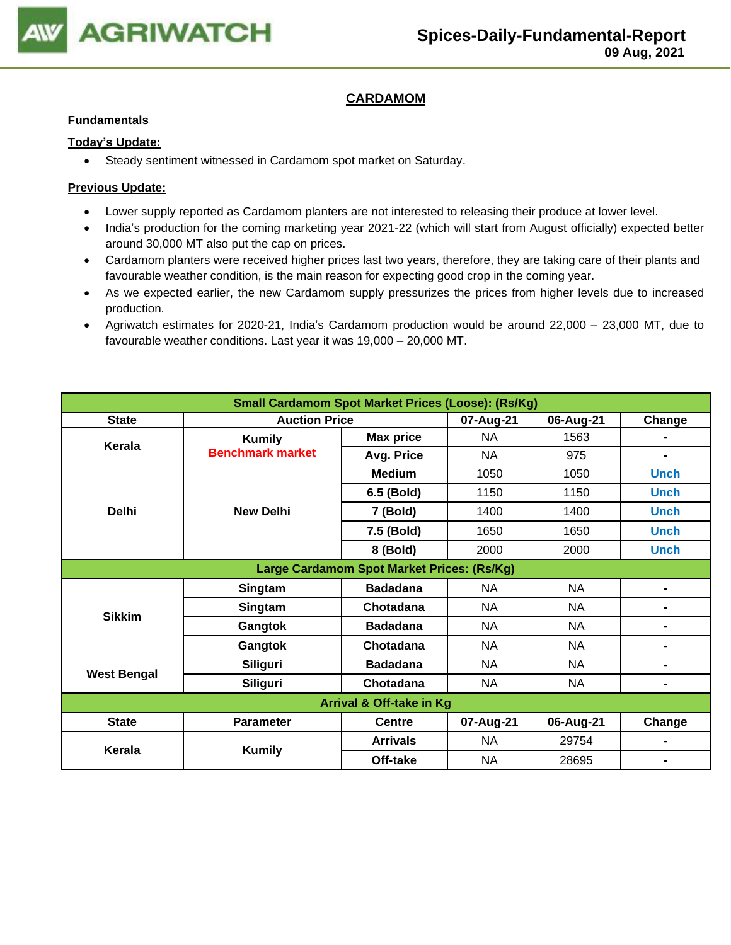

## **CARDAMOM**

#### **Fundamentals**

#### **Today's Update:**

• Steady sentiment witnessed in Cardamom spot market on Saturday.

- Lower supply reported as Cardamom planters are not interested to releasing their produce at lower level.
- India's production for the coming marketing year 2021-22 (which will start from August officially) expected better around 30,000 MT also put the cap on prices.
- Cardamom planters were received higher prices last two years, therefore, they are taking care of their plants and favourable weather condition, is the main reason for expecting good crop in the coming year.
- As we expected earlier, the new Cardamom supply pressurizes the prices from higher levels due to increased production.
- Agriwatch estimates for 2020-21, India's Cardamom production would be around 22,000 23,000 MT, due to favourable weather conditions. Last year it was 19,000 – 20,000 MT.

| <b>Small Cardamom Spot Market Prices (Loose): (Rs/Kg)</b> |                         |                  |           |           |                |  |  |
|-----------------------------------------------------------|-------------------------|------------------|-----------|-----------|----------------|--|--|
| <b>State</b>                                              | <b>Auction Price</b>    |                  | 07-Aug-21 | 06-Aug-21 | Change         |  |  |
| Kerala                                                    | <b>Kumily</b>           | <b>Max price</b> | NA        | 1563      |                |  |  |
|                                                           | <b>Benchmark market</b> | Avg. Price       | NA        | 975       | $\blacksquare$ |  |  |
|                                                           |                         | <b>Medium</b>    | 1050      | 1050      | <b>Unch</b>    |  |  |
|                                                           |                         | 6.5 (Bold)       | 1150      | 1150      | <b>Unch</b>    |  |  |
| <b>Delhi</b>                                              | <b>New Delhi</b>        | 7 (Bold)         | 1400      | 1400      | <b>Unch</b>    |  |  |
|                                                           |                         | 7.5 (Bold)       | 1650      | 1650      | <b>Unch</b>    |  |  |
|                                                           |                         | 8 (Bold)         | 2000      | 2000      | <b>Unch</b>    |  |  |
| Large Cardamom Spot Market Prices: (Rs/Kg)                |                         |                  |           |           |                |  |  |
|                                                           | Singtam                 | <b>Badadana</b>  | NA        | <b>NA</b> | $\blacksquare$ |  |  |
| <b>Sikkim</b>                                             | Singtam                 | Chotadana        | NA        | <b>NA</b> | $\blacksquare$ |  |  |
|                                                           | Gangtok                 | <b>Badadana</b>  | NA        | <b>NA</b> | -              |  |  |
|                                                           | Gangtok                 | Chotadana        | <b>NA</b> | <b>NA</b> | $\blacksquare$ |  |  |
|                                                           | Siliguri                | <b>Badadana</b>  | <b>NA</b> | <b>NA</b> | $\blacksquare$ |  |  |
| <b>West Bengal</b>                                        | Siliguri                | Chotadana        | <b>NA</b> | <b>NA</b> | -              |  |  |
| <b>Arrival &amp; Off-take in Kg</b>                       |                         |                  |           |           |                |  |  |
| <b>State</b>                                              | <b>Parameter</b>        | <b>Centre</b>    | 07-Aug-21 | 06-Aug-21 | Change         |  |  |
|                                                           |                         | <b>Arrivals</b>  | NA        | 29754     |                |  |  |
| Kerala                                                    | <b>Kumily</b>           | Off-take         | NA        | 28695     | $\blacksquare$ |  |  |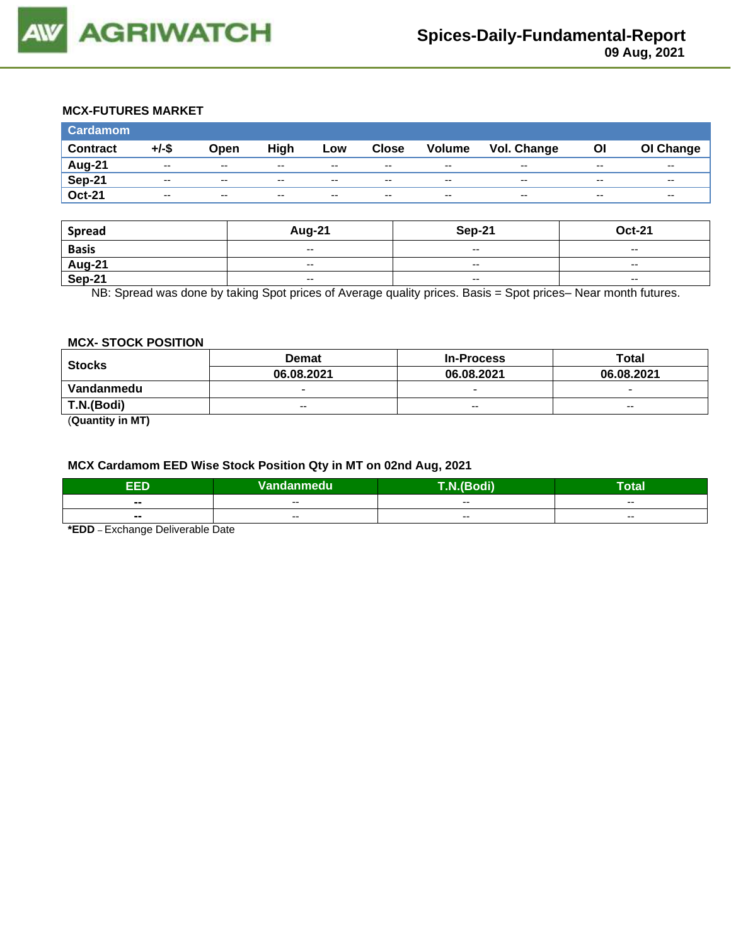

#### **MCX-FUTURES MARKET**

| <b>Cardamom</b> |          |       |       |       |              |                          |             |           |                          |
|-----------------|----------|-------|-------|-------|--------------|--------------------------|-------------|-----------|--------------------------|
| <b>Contract</b> | $+/-$ \$ | Open  | High  | Low   | <b>Close</b> | <b>Volume</b>            | Vol. Change | <b>OI</b> | OI Change                |
| <b>Aug-21</b>   | $-$      | $-$   | $- -$ | $- -$ | $- -$        | $- -$                    | $- -$       | $- -$     | $- -$                    |
| <b>Sep-21</b>   | $-$      | $-$   | $- -$ | $-$   | $- -$        | $\overline{\phantom{m}}$ | $- -$       | $- -$     | $\overline{\phantom{a}}$ |
| <b>Oct-21</b>   | $-$      | $- -$ | $-$   | $-$   | $- -$        | $\overline{\phantom{m}}$ | $- -$       | $- -$     | $\sim$ $\sim$            |

| <b>Spread</b>                             | Aug-21                   | Sep-21                   | <b>Oct-21</b>            |
|-------------------------------------------|--------------------------|--------------------------|--------------------------|
| <b>Basis</b>                              | $\overline{\phantom{a}}$ | $- -$                    | $\overline{\phantom{a}}$ |
| $\frac{\overline{Aug-21}}{\text{Sep-21}}$ | $\overline{\phantom{a}}$ | $-$                      | $\sim$                   |
|                                           | $\overline{\phantom{a}}$ | $\overline{\phantom{a}}$ | $\overline{\phantom{a}}$ |

NB: Spread was done by taking Spot prices of Average quality prices. Basis = Spot prices– Near month futures.

#### **MCX- STOCK POSITION**

| <b>Stocks</b>                     | <b>Demat</b>             | <b>In-Process</b>        | Total                    |  |
|-----------------------------------|--------------------------|--------------------------|--------------------------|--|
|                                   | 06.08.2021               | 06.08.2021               | 06.08.2021               |  |
| Vandanmedu                        | $\overline{\phantom{0}}$ | $\overline{\phantom{0}}$ | $\overline{\phantom{0}}$ |  |
| T.N.(Bodi)                        | $-$                      | $- -$                    | $- -$                    |  |
| $\overline{\phantom{a}}$<br>----- |                          |                          |                          |  |

(**Quantity in MT)**

### **MCX Cardamom EED Wise Stock Position Qty in MT on 02nd Aug, 2021**

| EED   | Vandanmedu | $\overline{ }$<br>- 40<br>воон | . .<br>Гоtal |
|-------|------------|--------------------------------|--------------|
| $- -$ | $- -$      | $- -$                          | $- -$        |
| $- -$ | $- -$      | $- -$                          | $- -$        |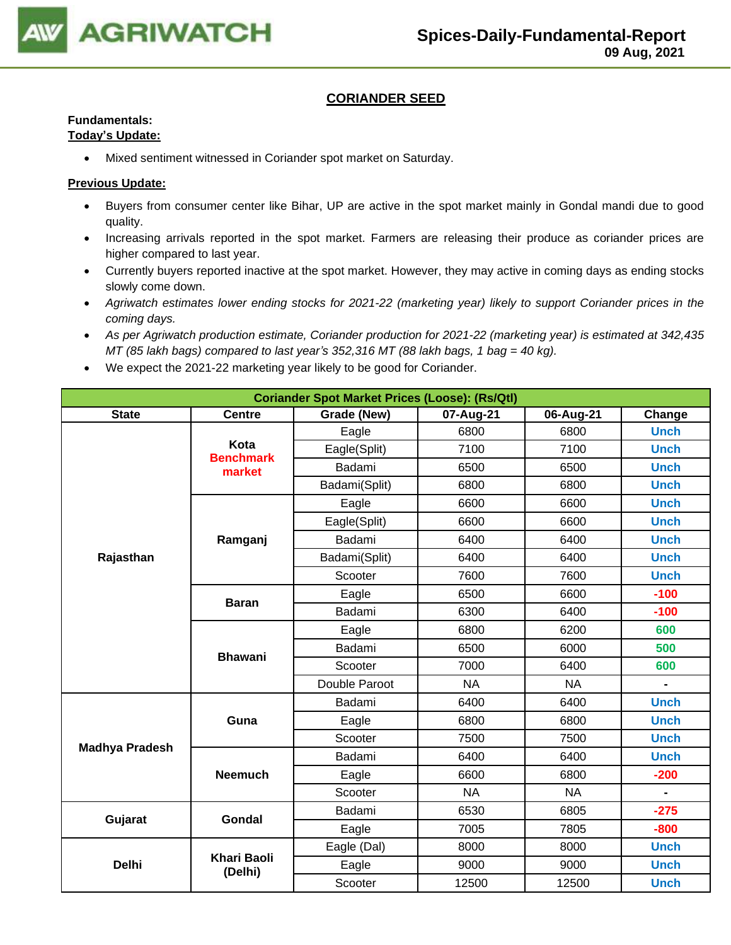

### **CORIANDER SEED**

## **Fundamentals:**

## **Today's Update:**

• Mixed sentiment witnessed in Coriander spot market on Saturday.

- Buyers from consumer center like Bihar, UP are active in the spot market mainly in Gondal mandi due to good quality.
- Increasing arrivals reported in the spot market. Farmers are releasing their produce as coriander prices are higher compared to last year.
- Currently buyers reported inactive at the spot market. However, they may active in coming days as ending stocks slowly come down.
- *Agriwatch estimates lower ending stocks for 2021-22 (marketing year) likely to support Coriander prices in the coming days.*
- *As per Agriwatch production estimate, Coriander production for 2021-22 (marketing year) is estimated at 342,435 MT (85 lakh bags) compared to last year's 352,316 MT (88 lakh bags, 1 bag = 40 kg).*
- We expect the 2021-22 marketing year likely to be good for Coriander.

| <b>Coriander Spot Market Prices (Loose): (Rs/Qtl)</b> |                               |               |           |           |                |  |  |
|-------------------------------------------------------|-------------------------------|---------------|-----------|-----------|----------------|--|--|
| <b>State</b>                                          | <b>Centre</b>                 | Grade (New)   | Change    |           |                |  |  |
|                                                       |                               | Eagle         | 6800      | 6800      | <b>Unch</b>    |  |  |
|                                                       | Kota<br><b>Benchmark</b>      | Eagle(Split)  | 7100      | 7100      | <b>Unch</b>    |  |  |
|                                                       | market                        | Badami        | 6500      | 6500      | <b>Unch</b>    |  |  |
|                                                       |                               | Badami(Split) | 6800      | 6800      | <b>Unch</b>    |  |  |
|                                                       |                               | Eagle         | 6600      | 6600      | <b>Unch</b>    |  |  |
|                                                       |                               | Eagle(Split)  | 6600      | 6600      | <b>Unch</b>    |  |  |
|                                                       | Ramganj                       | Badami        | 6400      | 6400      | <b>Unch</b>    |  |  |
| Rajasthan                                             |                               | Badami(Split) | 6400      | 6400      | <b>Unch</b>    |  |  |
|                                                       |                               | Scooter       | 7600      | 7600      | <b>Unch</b>    |  |  |
|                                                       |                               | Eagle         | 6500      | 6600      | $-100$         |  |  |
|                                                       | <b>Baran</b>                  | Badami        | 6300      | 6400      | $-100$         |  |  |
|                                                       |                               | Eagle         | 6800      | 6200      | 600            |  |  |
|                                                       |                               | Badami        | 6500      | 6000      | 500            |  |  |
|                                                       | <b>Bhawani</b>                | Scooter       | 7000      | 6400      | 600            |  |  |
|                                                       |                               | Double Paroot | <b>NA</b> | <b>NA</b> | $\blacksquare$ |  |  |
|                                                       |                               | Badami        | 6400      | 6400      | <b>Unch</b>    |  |  |
|                                                       | Guna                          | Eagle         | 6800      | 6800      | <b>Unch</b>    |  |  |
|                                                       |                               | Scooter       | 7500      | 7500      | <b>Unch</b>    |  |  |
| <b>Madhya Pradesh</b>                                 |                               | Badami        | 6400      | 6400      | <b>Unch</b>    |  |  |
|                                                       | <b>Neemuch</b>                | Eagle         | 6600      | 6800      | $-200$         |  |  |
|                                                       |                               | Scooter       | <b>NA</b> | <b>NA</b> |                |  |  |
|                                                       |                               | Badami        | 6530      | 6805      | $-275$         |  |  |
| Gujarat                                               | <b>Gondal</b>                 | Eagle         | 7005      | 7805      | $-800$         |  |  |
|                                                       |                               | Eagle (Dal)   | 8000      | 8000      | <b>Unch</b>    |  |  |
| <b>Delhi</b>                                          | <b>Khari Baoli</b><br>(Delhi) | Eagle         | 9000      | 9000      | <b>Unch</b>    |  |  |
|                                                       |                               | Scooter       | 12500     | 12500     | <b>Unch</b>    |  |  |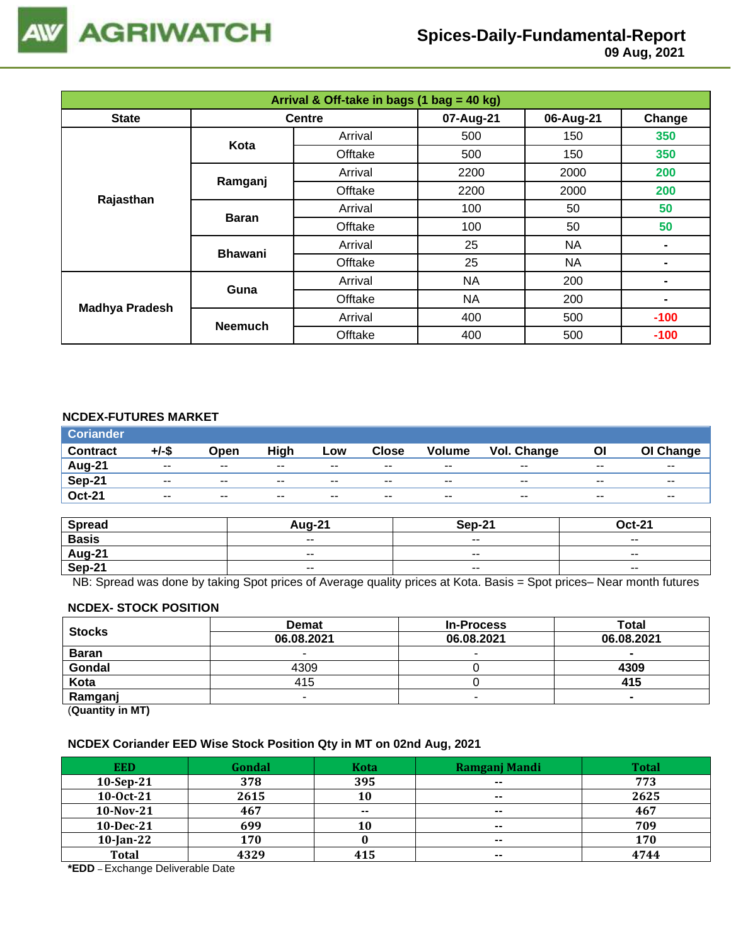

# **Spices-Daily-Fundamental-Report**

 **09 Aug, 2021**

| Arrival & Off-take in bags (1 bag = 40 kg) |                |               |           |           |        |  |  |
|--------------------------------------------|----------------|---------------|-----------|-----------|--------|--|--|
| <b>State</b>                               |                | <b>Centre</b> | 07-Aug-21 | 06-Aug-21 | Change |  |  |
|                                            | Kota           | Arrival       | 500       | 150       | 350    |  |  |
|                                            |                | Offtake       | 500       | 150       | 350    |  |  |
|                                            |                | Arrival       | 2200      | 2000      | 200    |  |  |
|                                            | Ramganj        | Offtake       | 2200      | 2000      | 200    |  |  |
| Rajasthan                                  |                | Arrival       | 100       | 50        | 50     |  |  |
|                                            | <b>Baran</b>   | Offtake       | 100       | 50        | 50     |  |  |
|                                            | <b>Bhawani</b> | Arrival       | 25        | <b>NA</b> |        |  |  |
|                                            |                | Offtake       | 25        | <b>NA</b> | ۰      |  |  |
|                                            | Guna           | Arrival       | <b>NA</b> | 200       | ۰      |  |  |
|                                            |                | Offtake       | <b>NA</b> | 200       | ۰      |  |  |
| <b>Madhya Pradesh</b>                      | <b>Neemuch</b> | Arrival       | 400       | 500       | $-100$ |  |  |
|                                            |                | Offtake       | 400       | 500       | $-100$ |  |  |

#### **NCDEX-FUTURES MARKET**

| <b>Coriander</b> |       |                          |       |       |              |               |             |       |           |
|------------------|-------|--------------------------|-------|-------|--------------|---------------|-------------|-------|-----------|
| <b>Contract</b>  | +/-\$ | Open                     | High  | Low   | <b>Close</b> | <b>Volume</b> | Vol. Change | ΟI    | OI Change |
| Aug-21           | $- -$ | $\sim$ $\sim$            | $- -$ | $- -$ | $- -$        | $- -$         | $- -$       | $- -$ | $- -$     |
| $Sep-21$         | $- -$ | $\sim$ $\sim$            | $- -$ | $- -$ | $- -$        | $- -$         | $- -$       | $- -$ | $- -$     |
| <b>Oct-21</b>    | $- -$ | $\overline{\phantom{a}}$ | $- -$ | $- -$ | $- -$        | $- -$         | $- -$       | $- -$ | $- -$     |

| <b>Spread</b>                  | Aua-21        | Sep-21                   | <b>Oct-21</b> |
|--------------------------------|---------------|--------------------------|---------------|
| <b>Basis</b>                   | $\sim$ $\sim$ | $\overline{\phantom{a}}$ | $- -$         |
| <b>Aug-21</b><br><b>Sep-21</b> | $-$           | $- -$                    | $- -$         |
|                                | $\sim$ $\sim$ | $\overline{\phantom{a}}$ | $\sim$ $\sim$ |

NB: Spread was done by taking Spot prices of Average quality prices at Kota. Basis = Spot prices– Near month futures

#### **NCDEX- STOCK POSITION**

| <b>Stocks</b>           | <b>Demat</b> | <b>In-Process</b> | Total      |
|-------------------------|--------------|-------------------|------------|
|                         | 06.08.2021   | 06.08.2021        | 06.08.2021 |
| <b>Baran</b>            |              | -                 |            |
| Gondal                  | 4309         |                   | 4309       |
| Kota                    | 415          |                   | 415        |
| Ramganj                 |              |                   |            |
| (0.1222, 0.0122, 0.000) |              |                   |            |

(**Quantity in MT)**

#### **NCDEX Coriander EED Wise Stock Position Qty in MT on 02nd Aug, 2021**

| <b>EED</b>   | Gondal | <b>Kota</b> | Ramganj Mandi | <b>Total</b> |
|--------------|--------|-------------|---------------|--------------|
| $10-Sep-21$  | 378    | 395         | $- -$         | 773          |
| 10-0ct-21    | 2615   | 10          | $\sim$        | 2625         |
| $10-Nov-21$  | 467    | $- -$       | $\sim$        | 467          |
| 10-Dec-21    | 699    | 10          | $- -$         | 709          |
| $10$ -Jan-22 | 170    |             | $- -$         | 170          |
| <b>Total</b> | 4329   | 415         | $\sim$        | 4744         |